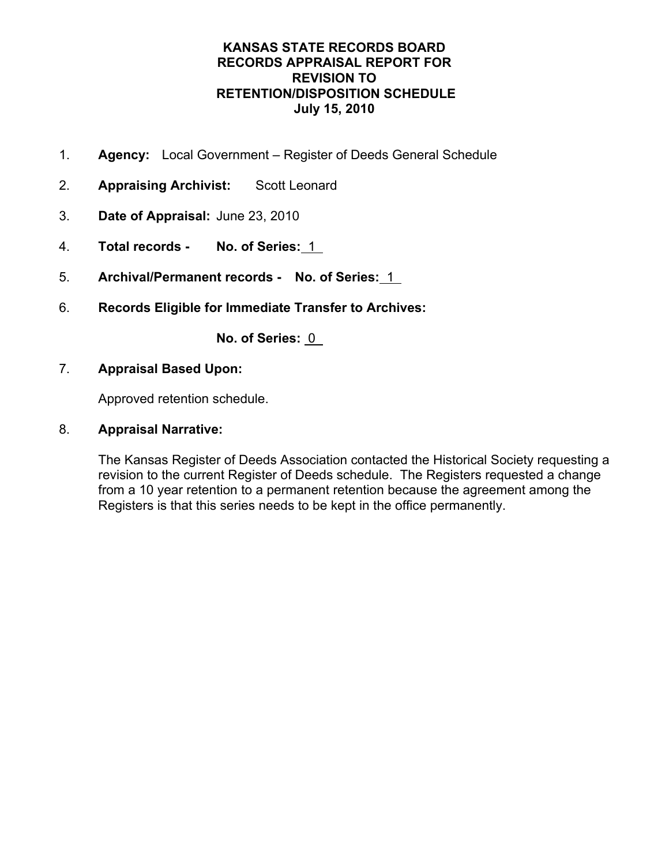- 1. **Agency:** Local Government Register of Deeds General Schedule
- 2. **Appraising Archivist:** Scott Leonard
- 3. **Date of Appraisal:** June 23, 2010
- 4. **Total records No. of Series:** 1
- 5. **Archival/Permanent records No. of Series:** 1
- 6. **Records Eligible for Immediate Transfer to Archives:**

**No. of Series:** 0

7. **Appraisal Based Upon:**

Approved retention schedule.

8. **Appraisal Narrative:** 

The Kansas Register of Deeds Association contacted the Historical Society requesting a revision to the current Register of Deeds schedule. The Registers requested a change from a 10 year retention to a permanent retention because the agreement among the Registers is that this series needs to be kept in the office permanently.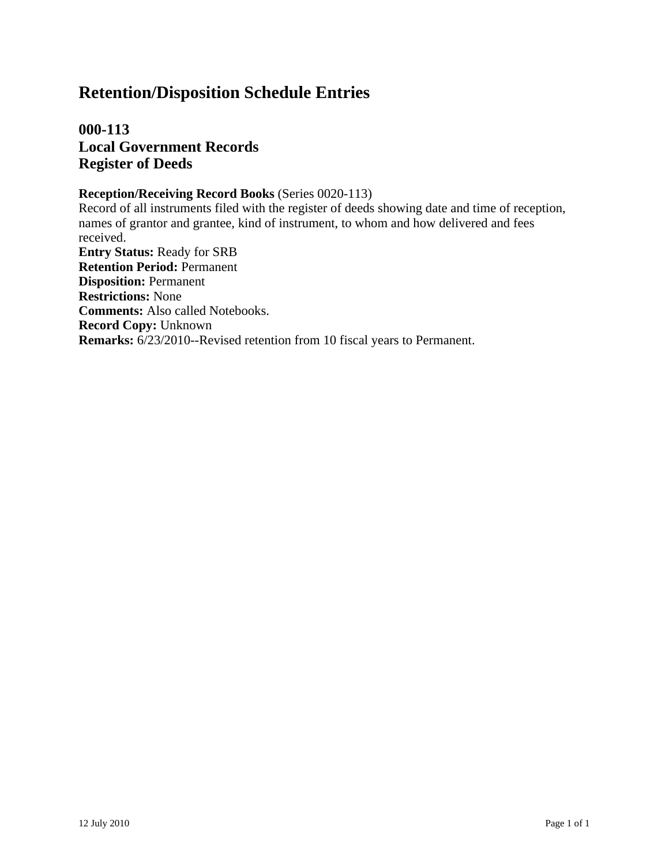**000-113 Local Government Records Register of Deeds**

#### **Reception/Receiving Record Books** (Series 0020-113)

Record of all instruments filed with the register of deeds showing date and time of reception, names of grantor and grantee, kind of instrument, to whom and how delivered and fees received. **Entry Status:** Ready for SRB **Retention Period:** Permanent **Disposition:** Permanent **Restrictions:** None **Comments:** Also called Notebooks. **Record Copy:** Unknown **Remarks:** 6/23/2010--Revised retention from 10 fiscal years to Permanent.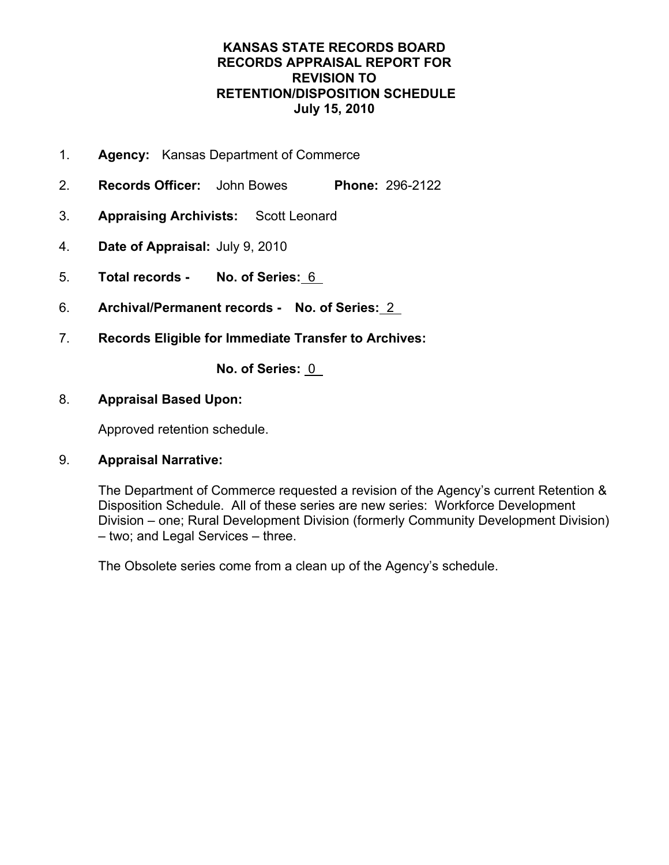- 1. **Agency:** Kansas Department of Commerce
- 2. **Records Officer:** John Bowes **Phone:** 296-2122
- 3. **Appraising Archivists:** Scott Leonard
- 4. **Date of Appraisal:** July 9, 2010
- 5. **Total records No. of Series:** 6
- 6. **Archival/Permanent records No. of Series:** 2
- 7. **Records Eligible for Immediate Transfer to Archives:**

**No. of Series:** 0

# 8. **Appraisal Based Upon:**

Approved retention schedule.

# 9. **Appraisal Narrative:**

The Department of Commerce requested a revision of the Agency's current Retention & Disposition Schedule. All of these series are new series: Workforce Development Division – one; Rural Development Division (formerly Community Development Division) – two; and Legal Services – three.

The Obsolete series come from a clean up of the Agency's schedule.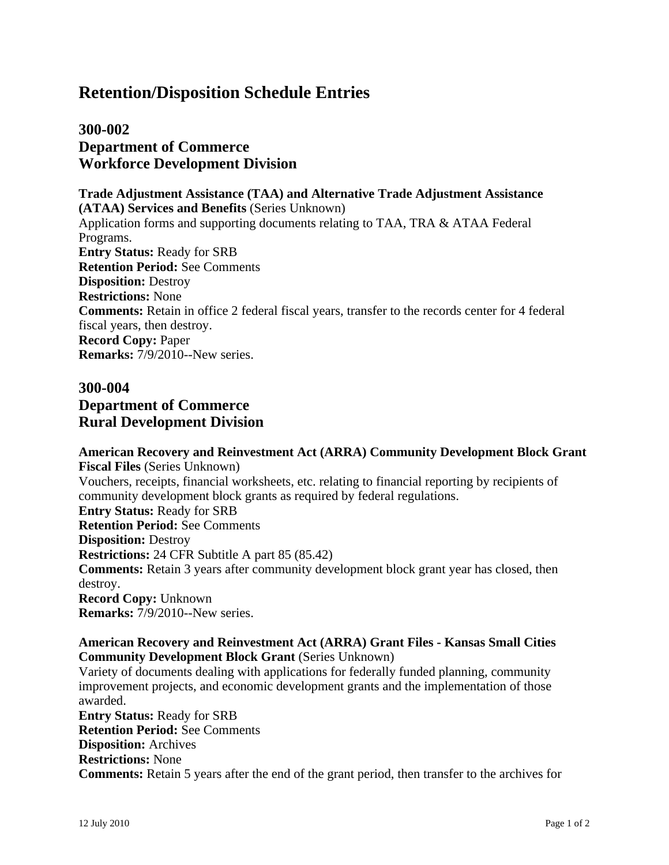# **300-002 Department of Commerce Workforce Development Division**

**Trade Adjustment Assistance (TAA) and Alternative Trade Adjustment Assistance (ATAA) Services and Benefits** (Series Unknown) Application forms and supporting documents relating to TAA, TRA & ATAA Federal Programs. **Entry Status:** Ready for SRB **Retention Period:** See Comments **Disposition:** Destroy **Restrictions:** None **Comments:** Retain in office 2 federal fiscal years, transfer to the records center for 4 federal fiscal years, then destroy. **Record Copy:** Paper **Remarks:** 7/9/2010--New series.

# **300-004 Department of Commerce Rural Development Division**

### **American Recovery and Reinvestment Act (ARRA) Community Development Block Grant Fiscal Files** (Series Unknown) Vouchers, receipts, financial worksheets, etc. relating to financial reporting by recipients of community development block grants as required by federal regulations. **Entry Status:** Ready for SRB **Retention Period:** See Comments **Disposition:** Destroy **Restrictions:** 24 CFR Subtitle A part 85 (85.42) **Comments:** Retain 3 years after community development block grant year has closed, then destroy. **Record Copy:** Unknown **Remarks:** 7/9/2010--New series.

#### **American Recovery and Reinvestment Act (ARRA) Grant Files - Kansas Small Cities Community Development Block Grant** (Series Unknown)

Variety of documents dealing with applications for federally funded planning, community improvement projects, and economic development grants and the implementation of those awarded. **Entry Status:** Ready for SRB **Retention Period:** See Comments **Disposition:** Archives

**Restrictions:** None

**Comments:** Retain 5 years after the end of the grant period, then transfer to the archives for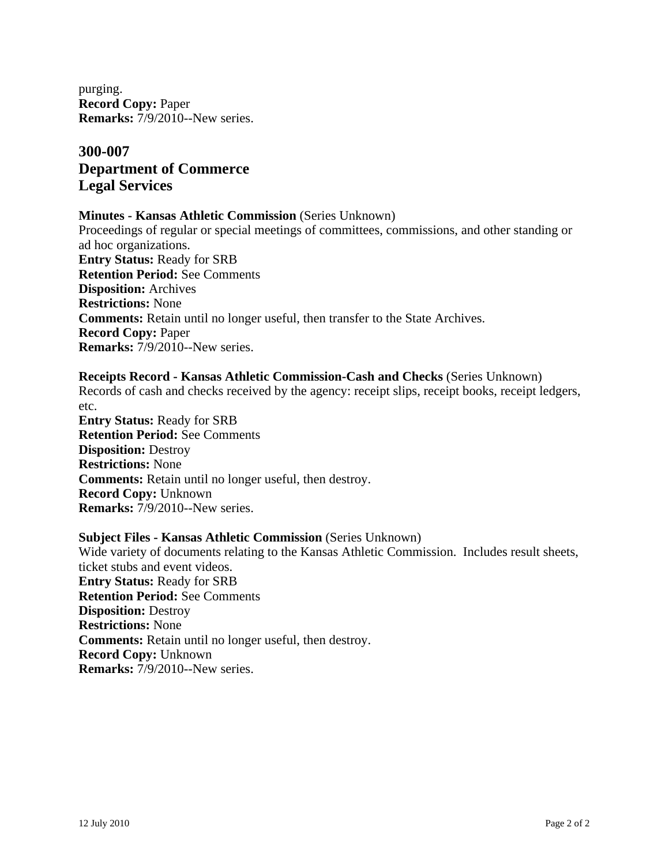purging. **Record Copy:** Paper **Remarks:** 7/9/2010--New series.

# **300-007 Department of Commerce Legal Services**

#### **Minutes - Kansas Athletic Commission** (Series Unknown)

Proceedings of regular or special meetings of committees, commissions, and other standing or ad hoc organizations. **Entry Status:** Ready for SRB **Retention Period:** See Comments **Disposition:** Archives **Restrictions:** None **Comments:** Retain until no longer useful, then transfer to the State Archives. **Record Copy:** Paper **Remarks:** 7/9/2010--New series.

#### **Receipts Record - Kansas Athletic Commission-Cash and Checks** (Series Unknown)

Records of cash and checks received by the agency: receipt slips, receipt books, receipt ledgers, etc.

**Entry Status:** Ready for SRB **Retention Period:** See Comments **Disposition:** Destroy **Restrictions:** None **Comments:** Retain until no longer useful, then destroy. **Record Copy:** Unknown **Remarks:** 7/9/2010--New series.

#### **Subject Files - Kansas Athletic Commission** (Series Unknown)

Wide variety of documents relating to the Kansas Athletic Commission. Includes result sheets, ticket stubs and event videos. **Entry Status:** Ready for SRB **Retention Period:** See Comments **Disposition:** Destroy **Restrictions:** None **Comments:** Retain until no longer useful, then destroy. **Record Copy:** Unknown **Remarks:** 7/9/2010--New series.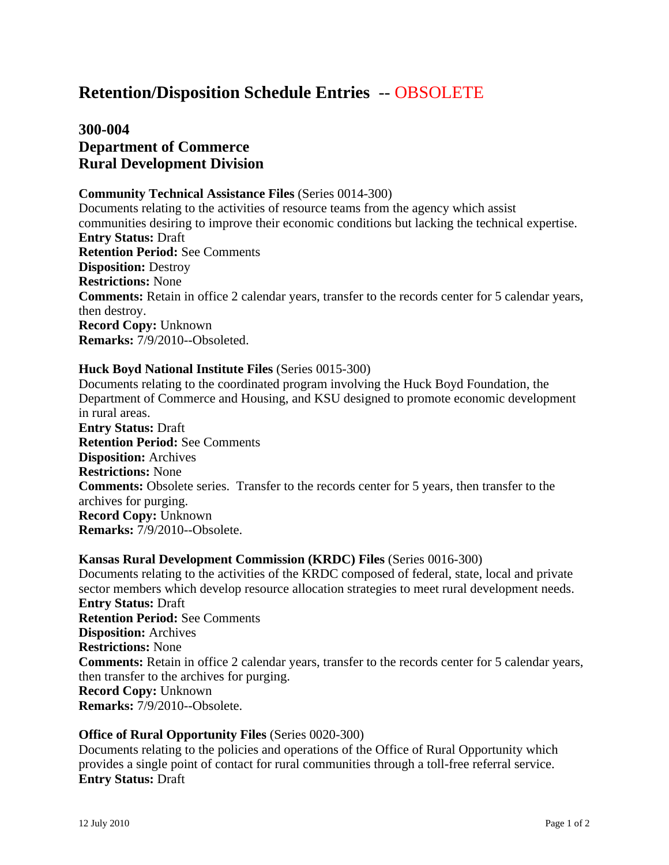# **Retention/Disposition Schedule Entries** -- OBSOLETE

# **300-004 Department of Commerce Rural Development Division**

#### **Community Technical Assistance Files** (Series 0014-300)

Documents relating to the activities of resource teams from the agency which assist communities desiring to improve their economic conditions but lacking the technical expertise. **Entry Status:** Draft **Retention Period:** See Comments **Disposition:** Destroy **Restrictions:** None **Comments:** Retain in office 2 calendar years, transfer to the records center for 5 calendar years, then destroy. **Record Copy:** Unknown **Remarks:** 7/9/2010--Obsoleted.

#### **Huck Boyd National Institute Files** (Series 0015-300)

Documents relating to the coordinated program involving the Huck Boyd Foundation, the Department of Commerce and Housing, and KSU designed to promote economic development in rural areas. **Entry Status:** Draft **Retention Period:** See Comments **Disposition:** Archives **Restrictions:** None **Comments:** Obsolete series. Transfer to the records center for 5 years, then transfer to the archives for purging. **Record Copy:** Unknown **Remarks:** 7/9/2010--Obsolete.

#### **Kansas Rural Development Commission (KRDC) Files** (Series 0016-300)

Documents relating to the activities of the KRDC composed of federal, state, local and private sector members which develop resource allocation strategies to meet rural development needs. **Entry Status:** Draft **Retention Period:** See Comments **Disposition:** Archives **Restrictions:** None **Comments:** Retain in office 2 calendar years, transfer to the records center for 5 calendar years, then transfer to the archives for purging. **Record Copy:** Unknown **Remarks:** 7/9/2010--Obsolete.

#### **Office of Rural Opportunity Files** (Series 0020-300)

Documents relating to the policies and operations of the Office of Rural Opportunity which provides a single point of contact for rural communities through a toll-free referral service. **Entry Status:** Draft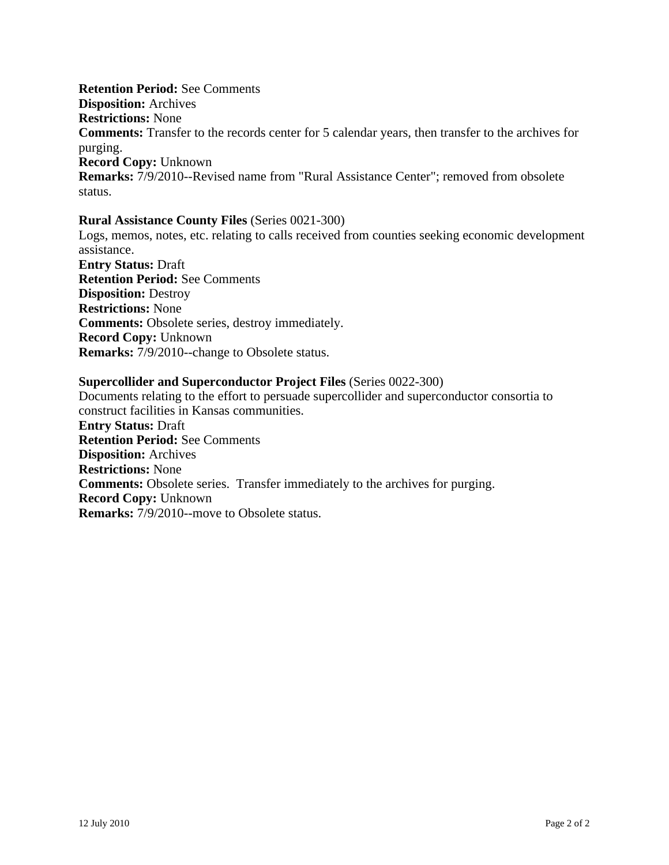#### **Retention Period:** See Comments

**Disposition:** Archives

**Restrictions:** None

**Comments:** Transfer to the records center for 5 calendar years, then transfer to the archives for purging.

**Record Copy:** Unknown **Remarks:** 7/9/2010--Revised name from "Rural Assistance Center"; removed from obsolete status.

#### **Rural Assistance County Files** (Series 0021-300)

Logs, memos, notes, etc. relating to calls received from counties seeking economic development assistance. **Entry Status:** Draft **Retention Period:** See Comments **Disposition:** Destroy **Restrictions:** None **Comments:** Obsolete series, destroy immediately. **Record Copy:** Unknown **Remarks:** 7/9/2010--change to Obsolete status.

### **Supercollider and Superconductor Project Files** (Series 0022-300)

Documents relating to the effort to persuade supercollider and superconductor consortia to construct facilities in Kansas communities. **Entry Status:** Draft **Retention Period:** See Comments **Disposition:** Archives **Restrictions:** None **Comments:** Obsolete series. Transfer immediately to the archives for purging. **Record Copy:** Unknown **Remarks:** 7/9/2010--move to Obsolete status.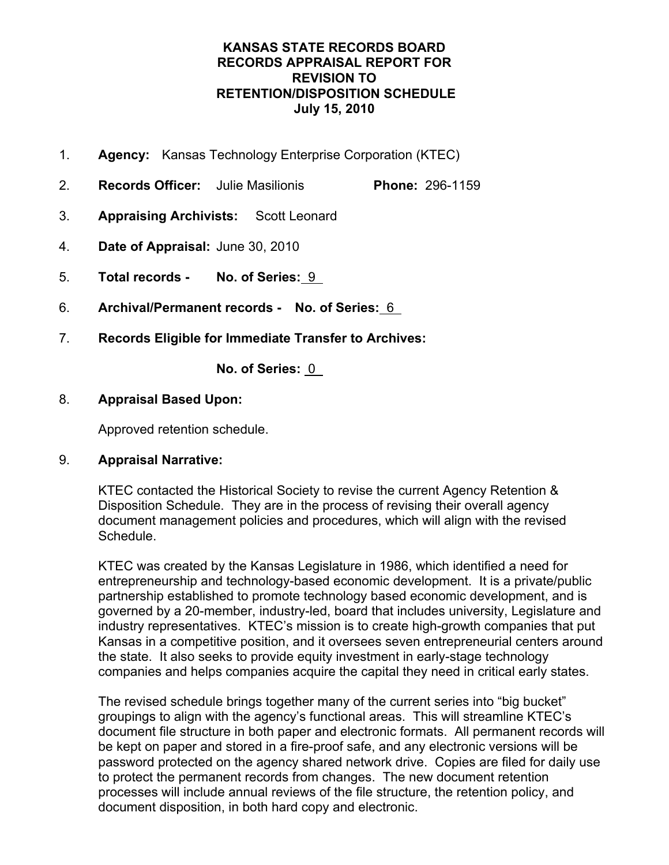- 1. **Agency:** Kansas Technology Enterprise Corporation (KTEC)
- 2. **Records Officer:** Julie Masilionis **Phone:** 296-1159
- 3. **Appraising Archivists:** Scott Leonard
- 4. **Date of Appraisal:** June 30, 2010
- 5. **Total records No. of Series:** 9
- 6. **Archival/Permanent records No. of Series:** 6
- 7. **Records Eligible for Immediate Transfer to Archives:**

**No. of Series:** 0

# 8. **Appraisal Based Upon:**

Approved retention schedule.

# 9. **Appraisal Narrative:**

KTEC contacted the Historical Society to revise the current Agency Retention & Disposition Schedule. They are in the process of revising their overall agency document management policies and procedures, which will align with the revised Schedule.

KTEC was created by the Kansas Legislature in 1986, which identified a need for entrepreneurship and technology-based economic development. It is a private/public partnership established to promote technology based economic development, and is governed by a 20-member, industry-led, board that includes university, Legislature and industry representatives. KTEC's mission is to create high-growth companies that put Kansas in a competitive position, and it oversees seven entrepreneurial centers around the state. It also seeks to provide equity investment in early-stage technology companies and helps companies acquire the capital they need in critical early states.

The revised schedule brings together many of the current series into "big bucket" groupings to align with the agency's functional areas. This will streamline KTEC's document file structure in both paper and electronic formats. All permanent records will be kept on paper and stored in a fire-proof safe, and any electronic versions will be password protected on the agency shared network drive. Copies are filed for daily use to protect the permanent records from changes. The new document retention processes will include annual reviews of the file structure, the retention policy, and document disposition, in both hard copy and electronic.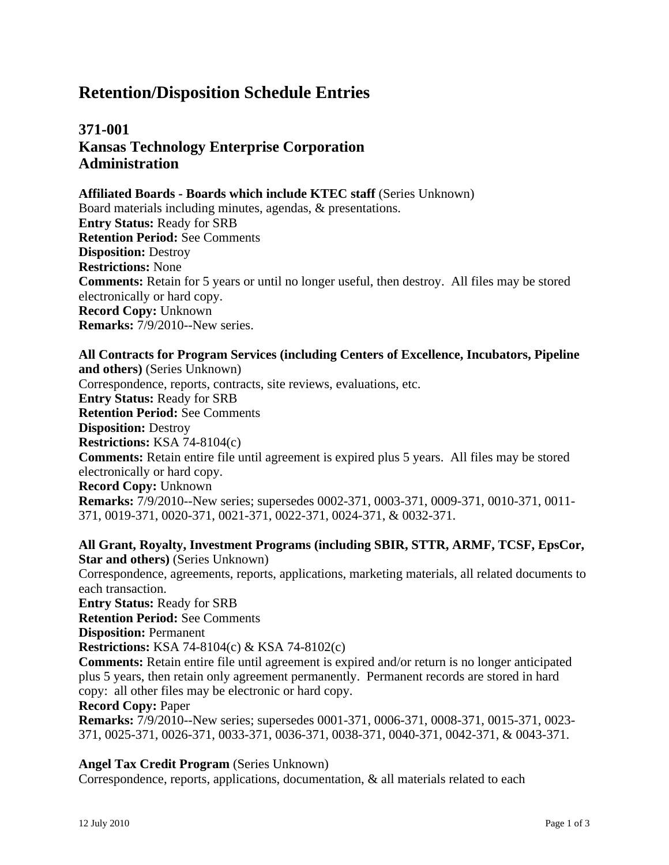# **371-001 Kansas Technology Enterprise Corporation Administration**

#### **Affiliated Boards - Boards which include KTEC staff** (Series Unknown)

Board materials including minutes, agendas, & presentations. **Entry Status:** Ready for SRB **Retention Period:** See Comments **Disposition:** Destroy **Restrictions:** None **Comments:** Retain for 5 years or until no longer useful, then destroy. All files may be stored electronically or hard copy. **Record Copy:** Unknown **Remarks:** 7/9/2010--New series.

**All Contracts for Program Services (including Centers of Excellence, Incubators, Pipeline and others)** (Series Unknown) Correspondence, reports, contracts, site reviews, evaluations, etc. **Entry Status:** Ready for SRB **Retention Period:** See Comments **Disposition:** Destroy **Restrictions:** KSA 74-8104(c) **Comments:** Retain entire file until agreement is expired plus 5 years. All files may be stored electronically or hard copy. **Record Copy:** Unknown **Remarks:** 7/9/2010--New series; supersedes 0002-371, 0003-371, 0009-371, 0010-371, 0011- 371, 0019-371, 0020-371, 0021-371, 0022-371, 0024-371, & 0032-371.

**All Grant, Royalty, Investment Programs (including SBIR, STTR, ARMF, TCSF, EpsCor, Star and others)** (Series Unknown) Correspondence, agreements, reports, applications, marketing materials, all related documents to each transaction. **Entry Status:** Ready for SRB **Retention Period:** See Comments **Disposition:** Permanent **Restrictions:** KSA 74-8104(c) & KSA 74-8102(c) **Comments:** Retain entire file until agreement is expired and/or return is no longer anticipated plus 5 years, then retain only agreement permanently. Permanent records are stored in hard copy: all other files may be electronic or hard copy. **Record Copy:** Paper **Remarks:** 7/9/2010--New series; supersedes 0001-371, 0006-371, 0008-371, 0015-371, 0023- 371, 0025-371, 0026-371, 0033-371, 0036-371, 0038-371, 0040-371, 0042-371, & 0043-371.

#### **Angel Tax Credit Program** (Series Unknown)

Correspondence, reports, applications, documentation, & all materials related to each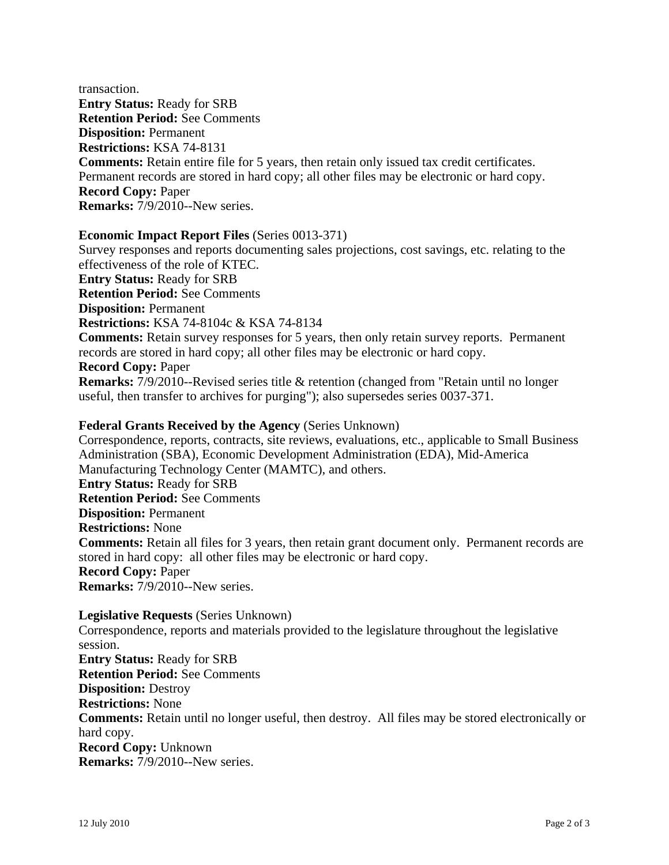transaction. **Entry Status:** Ready for SRB **Retention Period:** See Comments **Disposition:** Permanent **Restrictions:** KSA 74-8131 **Comments:** Retain entire file for 5 years, then retain only issued tax credit certificates. Permanent records are stored in hard copy; all other files may be electronic or hard copy. **Record Copy:** Paper **Remarks:** 7/9/2010--New series.

### **Economic Impact Report Files** (Series 0013-371)

Survey responses and reports documenting sales projections, cost savings, etc. relating to the effectiveness of the role of KTEC. **Entry Status:** Ready for SRB **Retention Period:** See Comments **Disposition:** Permanent **Restrictions:** KSA 74-8104c & KSA 74-8134 **Comments:** Retain survey responses for 5 years, then only retain survey reports. Permanent records are stored in hard copy; all other files may be electronic or hard copy. **Record Copy:** Paper **Remarks:** 7/9/2010--Revised series title & retention (changed from "Retain until no longer useful, then transfer to archives for purging"); also supersedes series 0037-371.

#### **Federal Grants Received by the Agency** (Series Unknown)

Correspondence, reports, contracts, site reviews, evaluations, etc., applicable to Small Business Administration (SBA), Economic Development Administration (EDA), Mid-America Manufacturing Technology Center (MAMTC), and others. **Entry Status:** Ready for SRB **Retention Period:** See Comments **Disposition:** Permanent **Restrictions:** None **Comments:** Retain all files for 3 years, then retain grant document only. Permanent records are stored in hard copy: all other files may be electronic or hard copy. **Record Copy:** Paper **Remarks:** 7/9/2010--New series.

**Legislative Requests** (Series Unknown) Correspondence, reports and materials provided to the legislature throughout the legislative session. **Entry Status:** Ready for SRB **Retention Period:** See Comments **Disposition:** Destroy **Restrictions:** None **Comments:** Retain until no longer useful, then destroy. All files may be stored electronically or hard copy. **Record Copy:** Unknown **Remarks:** 7/9/2010--New series.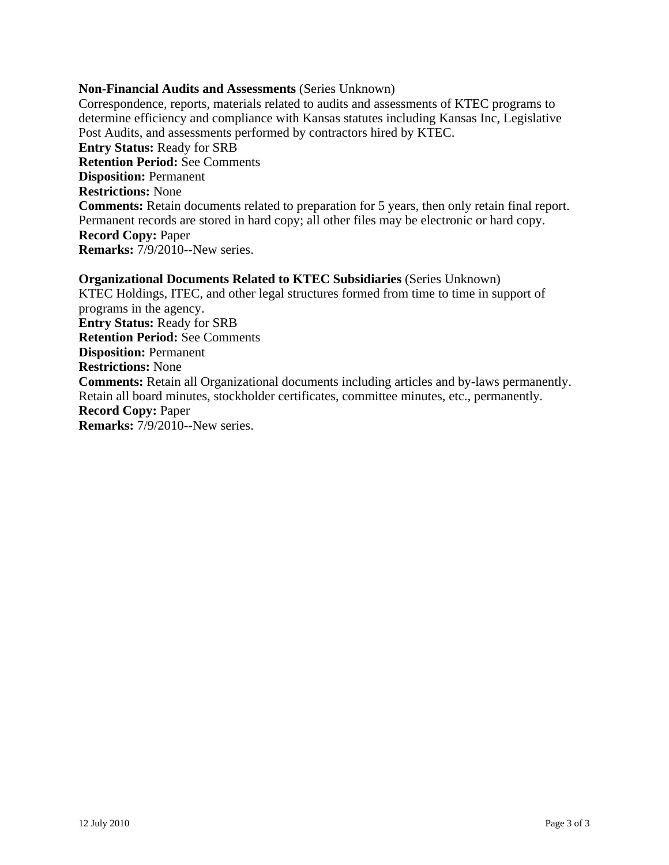#### **Non-Financial Audits and Assessments** (Series Unknown)

Correspondence, reports, materials related to audits and assessments of KTEC programs to determine efficiency and compliance with Kansas statutes including Kansas Inc, Legislative Post Audits, and assessments performed by contractors hired by KTEC. **Entry Status:** Ready for SRB **Retention Period:** See Comments **Disposition:** Permanent **Restrictions:** None **Comments:** Retain documents related to preparation for 5 years, then only retain final report. Permanent records are stored in hard copy; all other files may be electronic or hard copy. **Record Copy:** Paper **Remarks:** 7/9/2010--New series.

**Organizational Documents Related to KTEC Subsidiaries** (Series Unknown) KTEC Holdings, ITEC, and other legal structures formed from time to time in support of programs in the agency. **Entry Status:** Ready for SRB **Retention Period:** See Comments **Disposition:** Permanent **Restrictions:** None **Comments:** Retain all Organizational documents including articles and by-laws permanently. Retain all board minutes, stockholder certificates, committee minutes, etc., permanently. **Record Copy:** Paper **Remarks:** 7/9/2010--New series.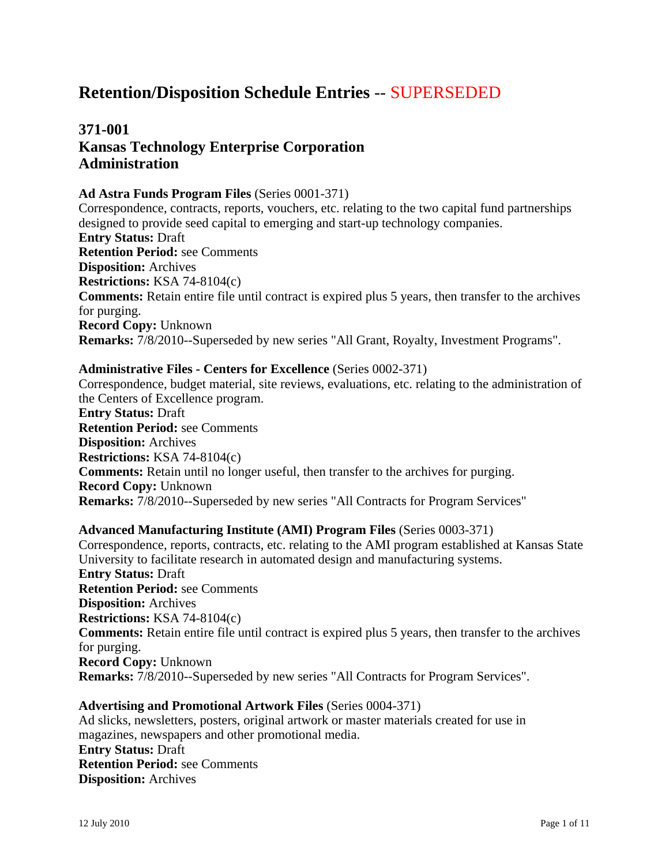# **Retention/Disposition Schedule Entries** -- SUPERSEDED

# **371-001 Kansas Technology Enterprise Corporation Administration**

#### **Ad Astra Funds Program Files** (Series 0001-371)

Correspondence, contracts, reports, vouchers, etc. relating to the two capital fund partnerships designed to provide seed capital to emerging and start-up technology companies. **Entry Status:** Draft **Retention Period:** see Comments **Disposition:** Archives **Restrictions:** KSA 74-8104(c) **Comments:** Retain entire file until contract is expired plus 5 years, then transfer to the archives for purging. **Record Copy:** Unknown **Remarks:** 7/8/2010--Superseded by new series "All Grant, Royalty, Investment Programs".

#### **Administrative Files - Centers for Excellence** (Series 0002-371)

Correspondence, budget material, site reviews, evaluations, etc. relating to the administration of the Centers of Excellence program.

**Entry Status:** Draft **Retention Period:** see Comments **Disposition:** Archives **Restrictions:** KSA 74-8104(c) **Comments:** Retain until no longer useful, then transfer to the archives for purging. **Record Copy:** Unknown **Remarks:** 7/8/2010--Superseded by new series "All Contracts for Program Services"

#### **Advanced Manufacturing Institute (AMI) Program Files** (Series 0003-371)

Correspondence, reports, contracts, etc. relating to the AMI program established at Kansas State University to facilitate research in automated design and manufacturing systems. **Entry Status:** Draft **Retention Period:** see Comments **Disposition:** Archives **Restrictions:** KSA 74-8104(c) **Comments:** Retain entire file until contract is expired plus 5 years, then transfer to the archives for purging. **Record Copy:** Unknown **Remarks:** 7/8/2010--Superseded by new series "All Contracts for Program Services".

#### **Advertising and Promotional Artwork Files** (Series 0004-371)

Ad slicks, newsletters, posters, original artwork or master materials created for use in magazines, newspapers and other promotional media. **Entry Status:** Draft **Retention Period:** see Comments **Disposition:** Archives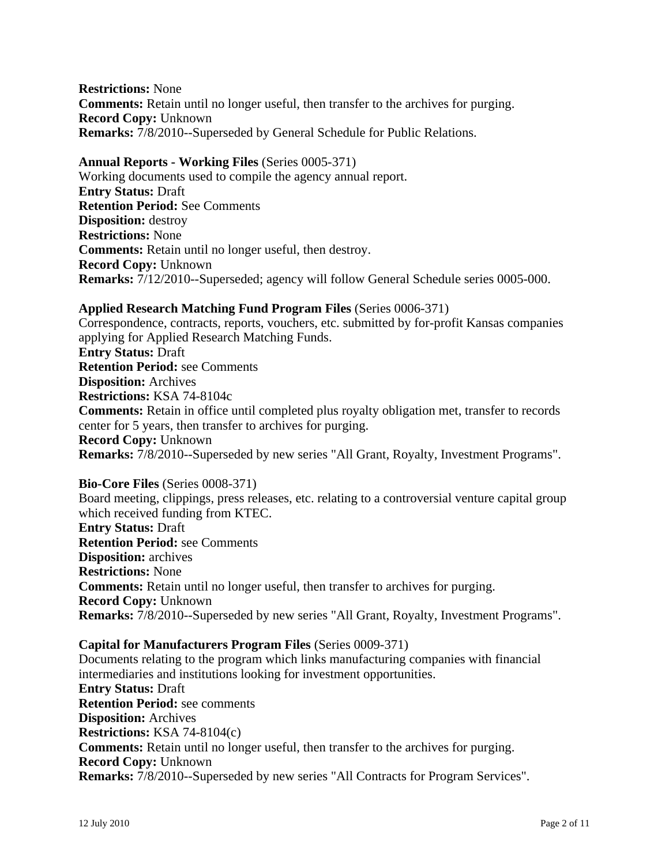**Restrictions:** None **Comments:** Retain until no longer useful, then transfer to the archives for purging. **Record Copy:** Unknown **Remarks:** 7/8/2010--Superseded by General Schedule for Public Relations.

**Annual Reports - Working Files** (Series 0005-371) Working documents used to compile the agency annual report. **Entry Status:** Draft **Retention Period:** See Comments **Disposition:** destroy **Restrictions:** None **Comments:** Retain until no longer useful, then destroy. **Record Copy:** Unknown **Remarks:** 7/12/2010--Superseded; agency will follow General Schedule series 0005-000.

#### **Applied Research Matching Fund Program Files** (Series 0006-371)

Correspondence, contracts, reports, vouchers, etc. submitted by for-profit Kansas companies applying for Applied Research Matching Funds. **Entry Status:** Draft **Retention Period:** see Comments **Disposition:** Archives **Restrictions:** KSA 74-8104c **Comments:** Retain in office until completed plus royalty obligation met, transfer to records center for 5 years, then transfer to archives for purging. **Record Copy:** Unknown **Remarks:** 7/8/2010--Superseded by new series "All Grant, Royalty, Investment Programs".

### **Bio-Core Files** (Series 0008-371)

Board meeting, clippings, press releases, etc. relating to a controversial venture capital group which received funding from KTEC.

**Entry Status:** Draft **Retention Period:** see Comments **Disposition:** archives **Restrictions:** None **Comments:** Retain until no longer useful, then transfer to archives for purging. **Record Copy:** Unknown **Remarks:** 7/8/2010--Superseded by new series "All Grant, Royalty, Investment Programs".

### **Capital for Manufacturers Program Files** (Series 0009-371)

Documents relating to the program which links manufacturing companies with financial intermediaries and institutions looking for investment opportunities. **Entry Status:** Draft **Retention Period:** see comments **Disposition:** Archives **Restrictions:** KSA 74-8104(c) **Comments:** Retain until no longer useful, then transfer to the archives for purging. **Record Copy:** Unknown **Remarks:** 7/8/2010--Superseded by new series "All Contracts for Program Services".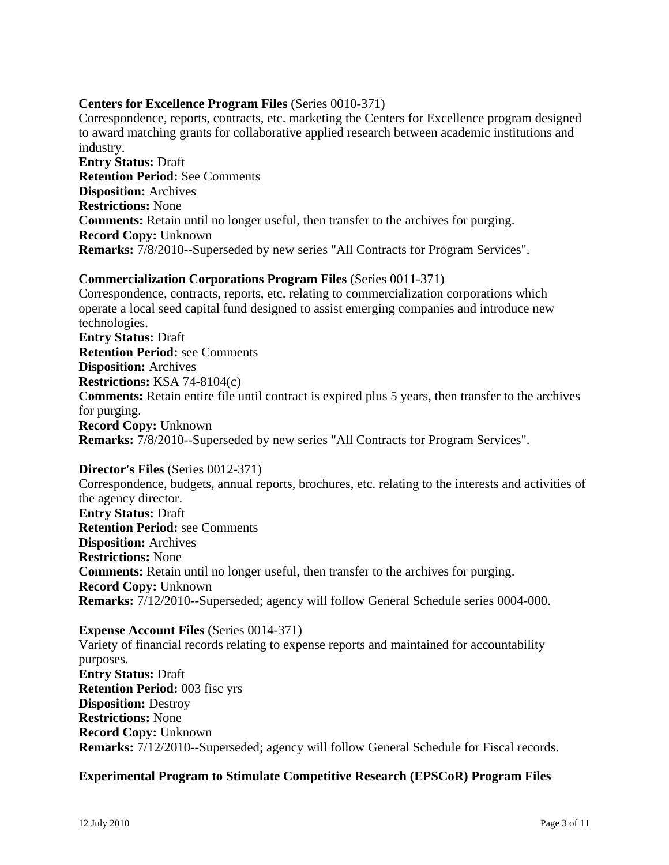#### **Centers for Excellence Program Files** (Series 0010-371)

Correspondence, reports, contracts, etc. marketing the Centers for Excellence program designed to award matching grants for collaborative applied research between academic institutions and industry.

**Entry Status:** Draft **Retention Period:** See Comments **Disposition:** Archives **Restrictions:** None **Comments:** Retain until no longer useful, then transfer to the archives for purging. **Record Copy:** Unknown **Remarks:** 7/8/2010--Superseded by new series "All Contracts for Program Services".

#### **Commercialization Corporations Program Files** (Series 0011-371)

Correspondence, contracts, reports, etc. relating to commercialization corporations which operate a local seed capital fund designed to assist emerging companies and introduce new technologies. **Entry Status:** Draft **Retention Period:** see Comments **Disposition:** Archives **Restrictions:** KSA 74-8104(c) **Comments:** Retain entire file until contract is expired plus 5 years, then transfer to the archives for purging. **Record Copy:** Unknown **Remarks:** 7/8/2010--Superseded by new series "All Contracts for Program Services".

**Director's Files** (Series 0012-371) Correspondence, budgets, annual reports, brochures, etc. relating to the interests and activities of the agency director. **Entry Status:** Draft **Retention Period:** see Comments **Disposition:** Archives **Restrictions:** None **Comments:** Retain until no longer useful, then transfer to the archives for purging. **Record Copy:** Unknown **Remarks:** 7/12/2010--Superseded; agency will follow General Schedule series 0004-000.

**Expense Account Files** (Series 0014-371) Variety of financial records relating to expense reports and maintained for accountability purposes. **Entry Status:** Draft **Retention Period:** 003 fisc yrs **Disposition:** Destroy **Restrictions:** None **Record Copy:** Unknown **Remarks:** 7/12/2010--Superseded; agency will follow General Schedule for Fiscal records.

#### **Experimental Program to Stimulate Competitive Research (EPSCoR) Program Files**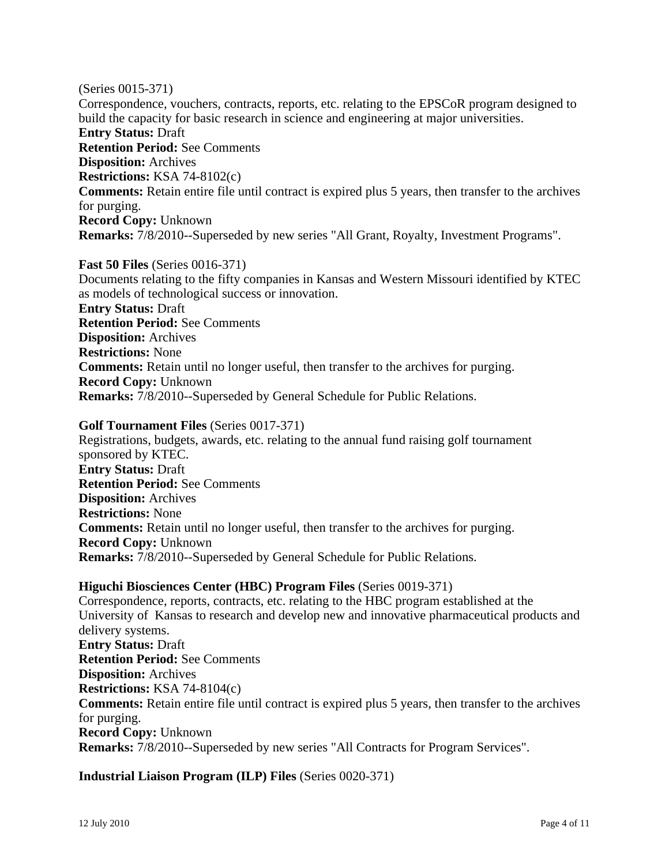(Series 0015-371) Correspondence, vouchers, contracts, reports, etc. relating to the EPSCoR program designed to build the capacity for basic research in science and engineering at major universities. **Entry Status:** Draft **Retention Period:** See Comments **Disposition:** Archives **Restrictions:** KSA 74-8102(c) **Comments:** Retain entire file until contract is expired plus 5 years, then transfer to the archives for purging. **Record Copy:** Unknown **Remarks:** 7/8/2010--Superseded by new series "All Grant, Royalty, Investment Programs".

**Fast 50 Files** (Series 0016-371) Documents relating to the fifty companies in Kansas and Western Missouri identified by KTEC as models of technological success or innovation. **Entry Status:** Draft **Retention Period:** See Comments **Disposition:** Archives **Restrictions:** None **Comments:** Retain until no longer useful, then transfer to the archives for purging. **Record Copy:** Unknown **Remarks:** 7/8/2010--Superseded by General Schedule for Public Relations.

#### **Golf Tournament Files** (Series 0017-371)

Registrations, budgets, awards, etc. relating to the annual fund raising golf tournament sponsored by KTEC. **Entry Status:** Draft **Retention Period:** See Comments **Disposition:** Archives **Restrictions:** None **Comments:** Retain until no longer useful, then transfer to the archives for purging. **Record Copy:** Unknown **Remarks:** 7/8/2010--Superseded by General Schedule for Public Relations.

### **Higuchi Biosciences Center (HBC) Program Files** (Series 0019-371)

Correspondence, reports, contracts, etc. relating to the HBC program established at the University of Kansas to research and develop new and innovative pharmaceutical products and delivery systems. **Entry Status:** Draft **Retention Period:** See Comments **Disposition:** Archives **Restrictions:** KSA 74-8104(c) **Comments:** Retain entire file until contract is expired plus 5 years, then transfer to the archives for purging. **Record Copy:** Unknown **Remarks:** 7/8/2010--Superseded by new series "All Contracts for Program Services".

#### **Industrial Liaison Program (ILP) Files** (Series 0020-371)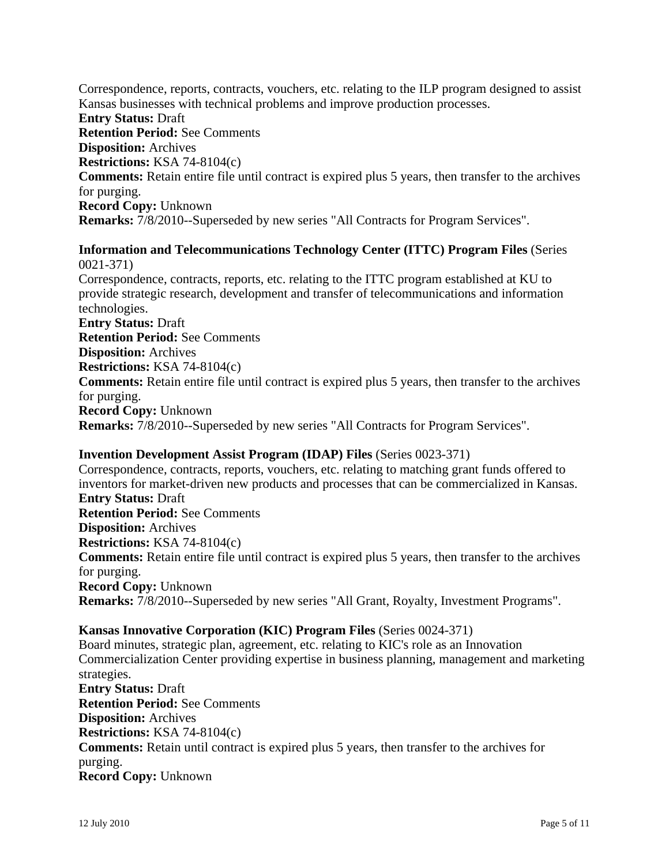Correspondence, reports, contracts, vouchers, etc. relating to the ILP program designed to assist Kansas businesses with technical problems and improve production processes. **Entry Status:** Draft **Retention Period:** See Comments **Disposition:** Archives **Restrictions:** KSA 74-8104(c) **Comments:** Retain entire file until contract is expired plus 5 years, then transfer to the archives for purging. **Record Copy:** Unknown **Remarks:** 7/8/2010--Superseded by new series "All Contracts for Program Services".

#### **Information and Telecommunications Technology Center (ITTC) Program Files** (Series 0021-371)

Correspondence, contracts, reports, etc. relating to the ITTC program established at KU to provide strategic research, development and transfer of telecommunications and information technologies.

**Entry Status:** Draft **Retention Period:** See Comments **Disposition:** Archives **Restrictions:** KSA 74-8104(c) **Comments:** Retain entire file until contract is expired plus 5 years, then transfer to the archives for purging. **Record Copy:** Unknown **Remarks:** 7/8/2010--Superseded by new series "All Contracts for Program Services".

# **Invention Development Assist Program (IDAP) Files** (Series 0023-371)

Correspondence, contracts, reports, vouchers, etc. relating to matching grant funds offered to inventors for market-driven new products and processes that can be commercialized in Kansas. **Entry Status:** Draft **Retention Period:** See Comments **Disposition:** Archives **Restrictions:** KSA 74-8104(c) **Comments:** Retain entire file until contract is expired plus 5 years, then transfer to the archives for purging. **Record Copy:** Unknown **Remarks:** 7/8/2010--Superseded by new series "All Grant, Royalty, Investment Programs".

### **Kansas Innovative Corporation (KIC) Program Files** (Series 0024-371)

Board minutes, strategic plan, agreement, etc. relating to KIC's role as an Innovation Commercialization Center providing expertise in business planning, management and marketing strategies. **Entry Status:** Draft **Retention Period:** See Comments **Disposition:** Archives **Restrictions:** KSA 74-8104(c) **Comments:** Retain until contract is expired plus 5 years, then transfer to the archives for purging. **Record Copy:** Unknown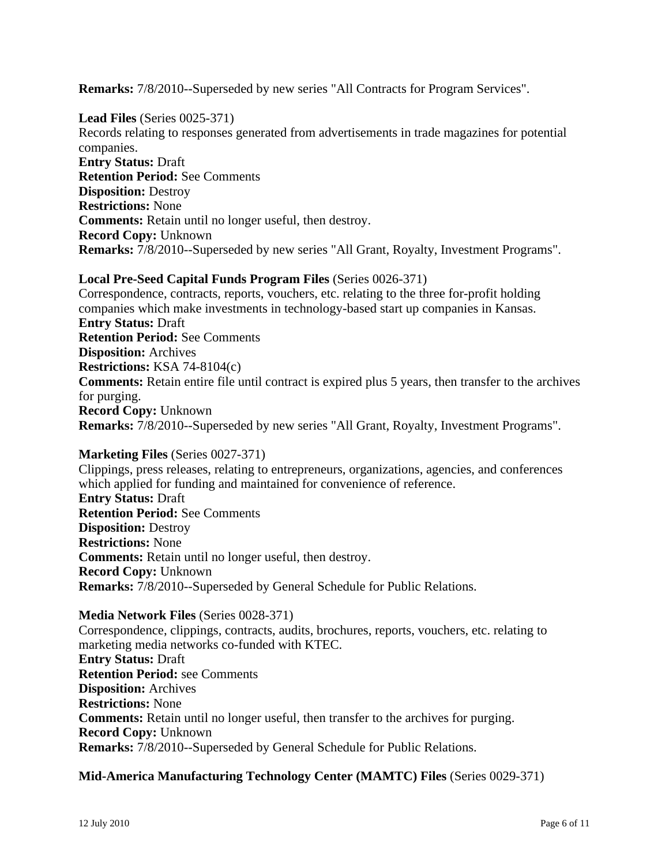**Remarks:** 7/8/2010--Superseded by new series "All Contracts for Program Services".

**Lead Files** (Series 0025-371) Records relating to responses generated from advertisements in trade magazines for potential companies. **Entry Status:** Draft **Retention Period:** See Comments **Disposition:** Destroy **Restrictions:** None **Comments:** Retain until no longer useful, then destroy. **Record Copy:** Unknown **Remarks:** 7/8/2010--Superseded by new series "All Grant, Royalty, Investment Programs".

## **Local Pre-Seed Capital Funds Program Files** (Series 0026-371) Correspondence, contracts, reports, vouchers, etc. relating to the three for-profit holding companies which make investments in technology-based start up companies in Kansas. **Entry Status:** Draft **Retention Period:** See Comments **Disposition:** Archives **Restrictions:** KSA 74-8104(c) **Comments:** Retain entire file until contract is expired plus 5 years, then transfer to the archives

for purging. **Record Copy:** Unknown **Remarks:** 7/8/2010--Superseded by new series "All Grant, Royalty, Investment Programs".

#### **Marketing Files** (Series 0027-371)

Clippings, press releases, relating to entrepreneurs, organizations, agencies, and conferences which applied for funding and maintained for convenience of reference. **Entry Status:** Draft **Retention Period:** See Comments **Disposition:** Destroy **Restrictions:** None **Comments:** Retain until no longer useful, then destroy. **Record Copy:** Unknown **Remarks:** 7/8/2010--Superseded by General Schedule for Public Relations.

#### **Media Network Files** (Series 0028-371)

Correspondence, clippings, contracts, audits, brochures, reports, vouchers, etc. relating to marketing media networks co-funded with KTEC. **Entry Status:** Draft **Retention Period:** see Comments **Disposition:** Archives **Restrictions:** None **Comments:** Retain until no longer useful, then transfer to the archives for purging. **Record Copy:** Unknown **Remarks:** 7/8/2010--Superseded by General Schedule for Public Relations.

#### **Mid-America Manufacturing Technology Center (MAMTC) Files** (Series 0029-371)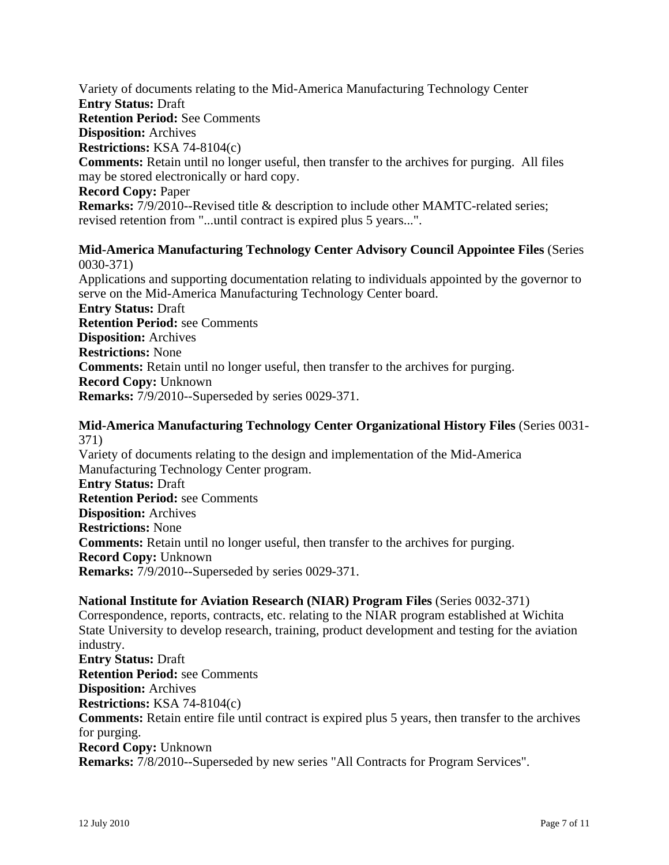Variety of documents relating to the Mid-America Manufacturing Technology Center **Entry Status:** Draft **Retention Period:** See Comments **Disposition:** Archives **Restrictions:** KSA 74-8104(c) **Comments:** Retain until no longer useful, then transfer to the archives for purging. All files may be stored electronically or hard copy. **Record Copy:** Paper **Remarks:** 7/9/2010--Revised title & description to include other MAMTC-related series; revised retention from "...until contract is expired plus 5 years...".

#### **Mid-America Manufacturing Technology Center Advisory Council Appointee Files** (Series 0030-371)

Applications and supporting documentation relating to individuals appointed by the governor to serve on the Mid-America Manufacturing Technology Center board. **Entry Status:** Draft **Retention Period:** see Comments

**Disposition:** Archives **Restrictions:** None **Comments:** Retain until no longer useful, then transfer to the archives for purging. **Record Copy:** Unknown **Remarks:** 7/9/2010--Superseded by series 0029-371.

#### **Mid-America Manufacturing Technology Center Organizational History Files** (Series 0031- 371)

Variety of documents relating to the design and implementation of the Mid-America Manufacturing Technology Center program. **Entry Status:** Draft **Retention Period:** see Comments **Disposition:** Archives **Restrictions:** None **Comments:** Retain until no longer useful, then transfer to the archives for purging. **Record Copy:** Unknown **Remarks:** 7/9/2010--Superseded by series 0029-371.

#### **National Institute for Aviation Research (NIAR) Program Files** (Series 0032-371)

Correspondence, reports, contracts, etc. relating to the NIAR program established at Wichita State University to develop research, training, product development and testing for the aviation industry. **Entry Status:** Draft **Retention Period:** see Comments **Disposition:** Archives **Restrictions:** KSA 74-8104(c) **Comments:** Retain entire file until contract is expired plus 5 years, then transfer to the archives for purging. **Record Copy:** Unknown **Remarks:** 7/8/2010--Superseded by new series "All Contracts for Program Services".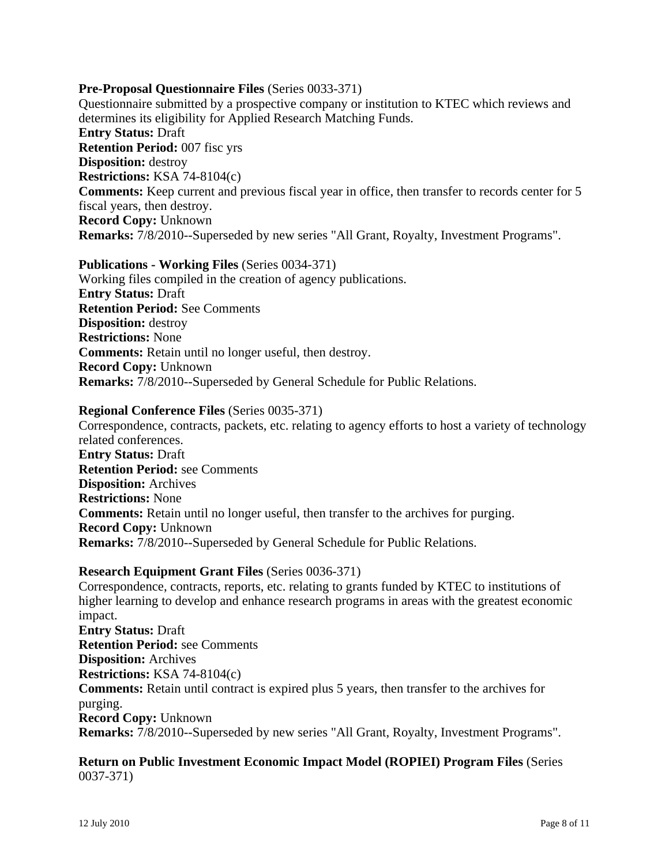#### **Pre-Proposal Questionnaire Files** (Series 0033-371)

Questionnaire submitted by a prospective company or institution to KTEC which reviews and determines its eligibility for Applied Research Matching Funds. **Entry Status:** Draft **Retention Period:** 007 fisc yrs **Disposition:** destroy **Restrictions:** KSA 74-8104(c) **Comments:** Keep current and previous fiscal year in office, then transfer to records center for 5 fiscal years, then destroy. **Record Copy:** Unknown **Remarks:** 7/8/2010--Superseded by new series "All Grant, Royalty, Investment Programs".

#### **Publications - Working Files** (Series 0034-371)

Working files compiled in the creation of agency publications. **Entry Status:** Draft **Retention Period:** See Comments **Disposition:** destroy **Restrictions:** None **Comments:** Retain until no longer useful, then destroy. **Record Copy:** Unknown **Remarks:** 7/8/2010--Superseded by General Schedule for Public Relations.

#### **Regional Conference Files** (Series 0035-371)

Correspondence, contracts, packets, etc. relating to agency efforts to host a variety of technology related conferences. **Entry Status:** Draft **Retention Period:** see Comments **Disposition:** Archives **Restrictions:** None **Comments:** Retain until no longer useful, then transfer to the archives for purging. **Record Copy:** Unknown **Remarks:** 7/8/2010--Superseded by General Schedule for Public Relations.

#### **Research Equipment Grant Files** (Series 0036-371)

Correspondence, contracts, reports, etc. relating to grants funded by KTEC to institutions of higher learning to develop and enhance research programs in areas with the greatest economic impact. **Entry Status:** Draft **Retention Period:** see Comments **Disposition:** Archives **Restrictions:** KSA 74-8104(c) **Comments:** Retain until contract is expired plus 5 years, then transfer to the archives for purging. **Record Copy:** Unknown **Remarks:** 7/8/2010--Superseded by new series "All Grant, Royalty, Investment Programs".

#### **Return on Public Investment Economic Impact Model (ROPIEI) Program Files** (Series 0037-371)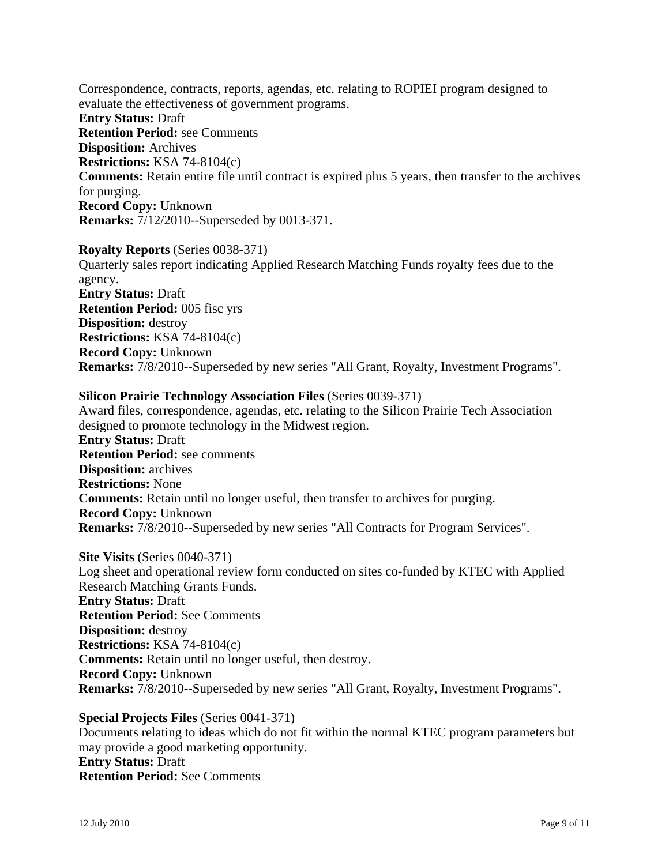Correspondence, contracts, reports, agendas, etc. relating to ROPIEI program designed to evaluate the effectiveness of government programs. **Entry Status:** Draft **Retention Period:** see Comments **Disposition:** Archives **Restrictions:** KSA 74-8104(c) **Comments:** Retain entire file until contract is expired plus 5 years, then transfer to the archives for purging. **Record Copy:** Unknown **Remarks:** 7/12/2010--Superseded by 0013-371.

**Royalty Reports** (Series 0038-371) Quarterly sales report indicating Applied Research Matching Funds royalty fees due to the agency. **Entry Status:** Draft **Retention Period:** 005 fisc yrs **Disposition:** destroy **Restrictions:** KSA 74-8104(c) **Record Copy:** Unknown **Remarks:** 7/8/2010--Superseded by new series "All Grant, Royalty, Investment Programs".

# **Silicon Prairie Technology Association Files** (Series 0039-371)

Award files, correspondence, agendas, etc. relating to the Silicon Prairie Tech Association designed to promote technology in the Midwest region. **Entry Status:** Draft **Retention Period:** see comments **Disposition:** archives **Restrictions:** None **Comments:** Retain until no longer useful, then transfer to archives for purging. **Record Copy:** Unknown **Remarks:** 7/8/2010--Superseded by new series "All Contracts for Program Services".

**Site Visits** (Series 0040-371) Log sheet and operational review form conducted on sites co-funded by KTEC with Applied Research Matching Grants Funds. **Entry Status:** Draft **Retention Period:** See Comments **Disposition:** destroy **Restrictions:** KSA 74-8104(c) **Comments:** Retain until no longer useful, then destroy. **Record Copy:** Unknown **Remarks:** 7/8/2010--Superseded by new series "All Grant, Royalty, Investment Programs".

**Special Projects Files** (Series 0041-371) Documents relating to ideas which do not fit within the normal KTEC program parameters but may provide a good marketing opportunity. **Entry Status:** Draft **Retention Period:** See Comments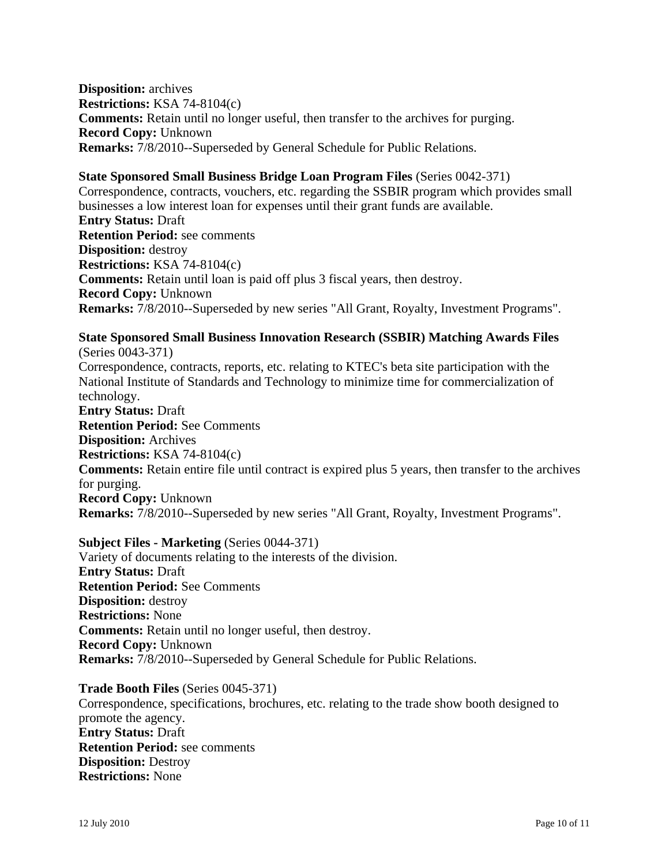**Disposition:** archives **Restrictions:** KSA 74-8104(c) **Comments:** Retain until no longer useful, then transfer to the archives for purging. **Record Copy:** Unknown **Remarks:** 7/8/2010--Superseded by General Schedule for Public Relations.

### **State Sponsored Small Business Bridge Loan Program Files** (Series 0042-371)

Correspondence, contracts, vouchers, etc. regarding the SSBIR program which provides small businesses a low interest loan for expenses until their grant funds are available. **Entry Status:** Draft **Retention Period:** see comments **Disposition:** destroy **Restrictions:** KSA 74-8104(c) **Comments:** Retain until loan is paid off plus 3 fiscal years, then destroy. **Record Copy:** Unknown **Remarks:** 7/8/2010--Superseded by new series "All Grant, Royalty, Investment Programs".

# **State Sponsored Small Business Innovation Research (SSBIR) Matching Awards Files**

(Series 0043-371) Correspondence, contracts, reports, etc. relating to KTEC's beta site participation with the National Institute of Standards and Technology to minimize time for commercialization of technology. **Entry Status:** Draft **Retention Period:** See Comments **Disposition:** Archives **Restrictions:** KSA 74-8104(c) **Comments:** Retain entire file until contract is expired plus 5 years, then transfer to the archives for purging. **Record Copy:** Unknown **Remarks:** 7/8/2010--Superseded by new series "All Grant, Royalty, Investment Programs".

#### **Subject Files - Marketing** (Series 0044-371)

Variety of documents relating to the interests of the division. **Entry Status:** Draft **Retention Period:** See Comments **Disposition:** destroy **Restrictions:** None **Comments:** Retain until no longer useful, then destroy. **Record Copy:** Unknown **Remarks:** 7/8/2010--Superseded by General Schedule for Public Relations.

#### **Trade Booth Files** (Series 0045-371)

Correspondence, specifications, brochures, etc. relating to the trade show booth designed to promote the agency. **Entry Status:** Draft **Retention Period:** see comments **Disposition:** Destroy **Restrictions:** None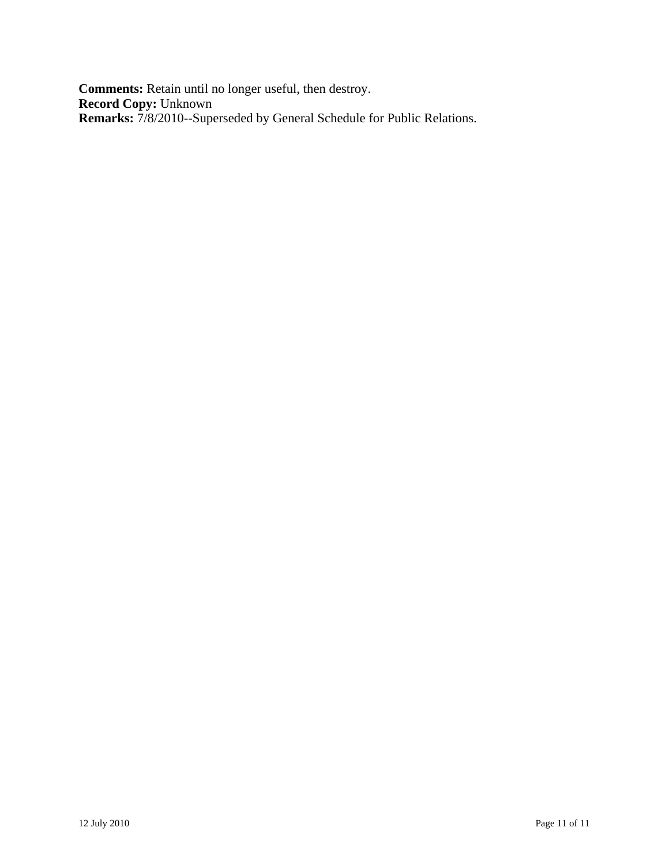**Comments:** Retain until no longer useful, then destroy. **Record Copy:** Unknown **Remarks:** 7/8/2010--Superseded by General Schedule for Public Relations.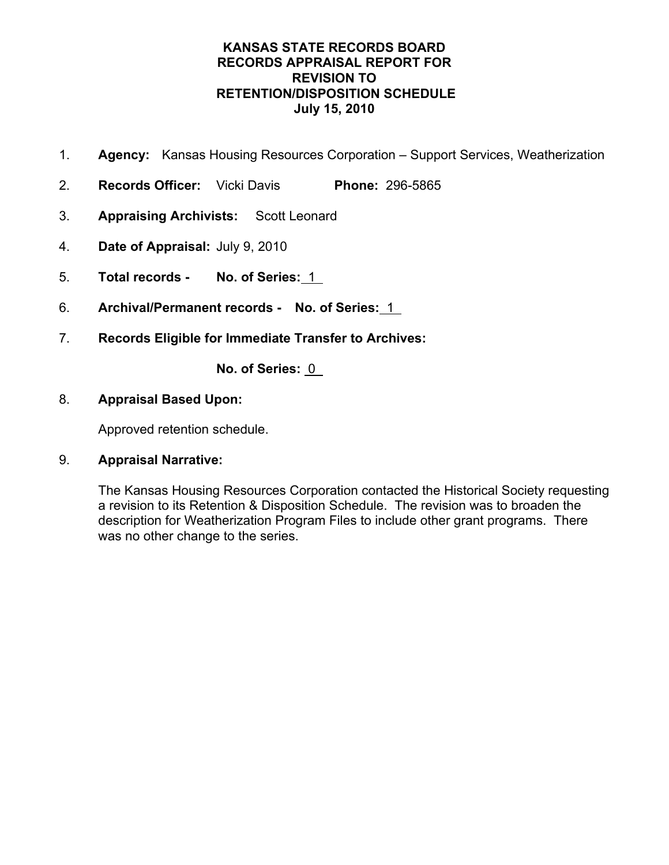- 1. **Agency:** Kansas Housing Resources Corporation Support Services, Weatherization
- 2. **Records Officer:** Vicki Davis **Phone:** 296-5865
- 3. **Appraising Archivists:** Scott Leonard
- 4. **Date of Appraisal:** July 9, 2010
- 5. **Total records No. of Series:** 1
- 6. **Archival/Permanent records No. of Series:** 1
- 7. **Records Eligible for Immediate Transfer to Archives:**

**No. of Series:** 0

# 8. **Appraisal Based Upon:**

Approved retention schedule.

# 9. **Appraisal Narrative:**

The Kansas Housing Resources Corporation contacted the Historical Society requesting a revision to its Retention & Disposition Schedule. The revision was to broaden the description for Weatherization Program Files to include other grant programs. There was no other change to the series.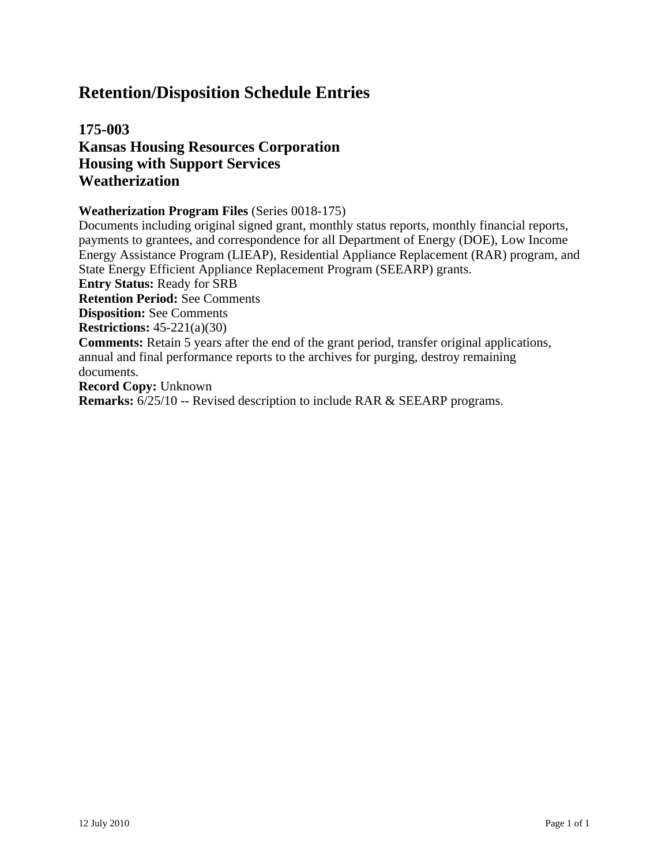# **175-003 Kansas Housing Resources Corporation Housing with Support Services Weatherization**

#### **Weatherization Program Files** (Series 0018-175)

Documents including original signed grant, monthly status reports, monthly financial reports, payments to grantees, and correspondence for all Department of Energy (DOE), Low Income Energy Assistance Program (LIEAP), Residential Appliance Replacement (RAR) program, and State Energy Efficient Appliance Replacement Program (SEEARP) grants. **Entry Status:** Ready for SRB **Retention Period:** See Comments **Disposition:** See Comments **Restrictions:** 45-221(a)(30) **Comments:** Retain 5 years after the end of the grant period, transfer original applications, annual and final performance reports to the archives for purging, destroy remaining documents. **Record Copy:** Unknown **Remarks:** 6/25/10 -- Revised description to include RAR & SEEARP programs.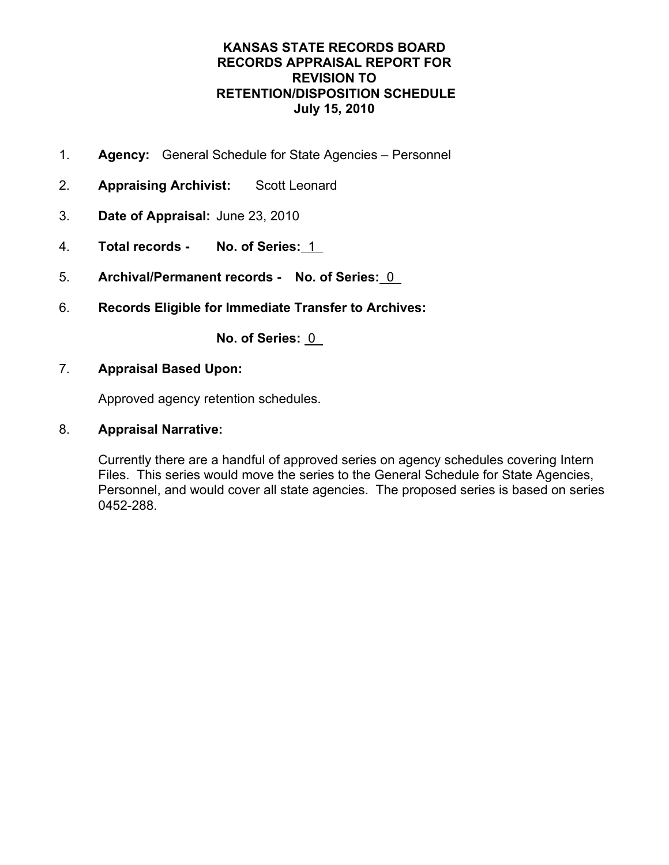- 1. **Agency:** General Schedule for State Agencies Personnel
- 2. **Appraising Archivist:** Scott Leonard
- 3. **Date of Appraisal:** June 23, 2010
- 4. **Total records No. of Series:** 1
- 5. **Archival/Permanent records No. of Series:** 0
- 6. **Records Eligible for Immediate Transfer to Archives:**

**No. of Series:** 0

7. **Appraisal Based Upon:**

Approved agency retention schedules.

8. **Appraisal Narrative:** 

Currently there are a handful of approved series on agency schedules covering Intern Files. This series would move the series to the General Schedule for State Agencies, Personnel, and would cover all state agencies. The proposed series is based on series 0452-288.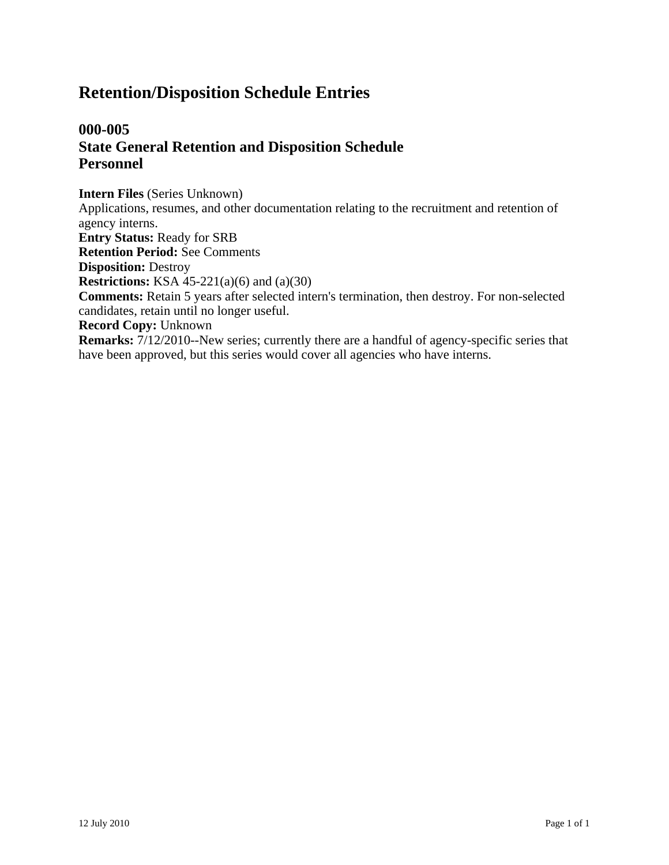# **000-005 State General Retention and Disposition Schedule Personnel**

**Intern Files** (Series Unknown) Applications, resumes, and other documentation relating to the recruitment and retention of agency interns. **Entry Status:** Ready for SRB **Retention Period:** See Comments **Disposition:** Destroy **Restrictions:** KSA 45-221(a)(6) and (a)(30) **Comments:** Retain 5 years after selected intern's termination, then destroy. For non-selected candidates, retain until no longer useful. **Record Copy:** Unknown **Remarks:** 7/12/2010--New series; currently there are a handful of agency-specific series that have been approved, but this series would cover all agencies who have interns.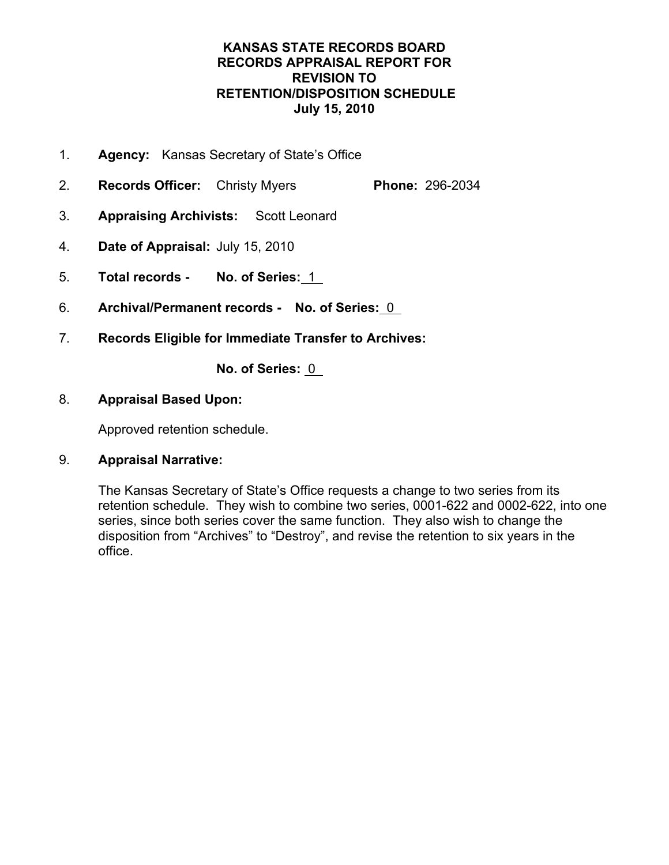- 1. **Agency:** Kansas Secretary of State's Office
- 2. **Records Officer:** Christy Myers **Phone:** 296-2034
- 3. **Appraising Archivists:** Scott Leonard
- 4. **Date of Appraisal:** July 15, 2010
- 5. **Total records No. of Series:** 1
- 6. **Archival/Permanent records No. of Series:** 0
- 7. **Records Eligible for Immediate Transfer to Archives:**

**No. of Series:** 0

# 8. **Appraisal Based Upon:**

Approved retention schedule.

# 9. **Appraisal Narrative:**

The Kansas Secretary of State's Office requests a change to two series from its retention schedule. They wish to combine two series, 0001-622 and 0002-622, into one series, since both series cover the same function. They also wish to change the disposition from "Archives" to "Destroy", and revise the retention to six years in the office.